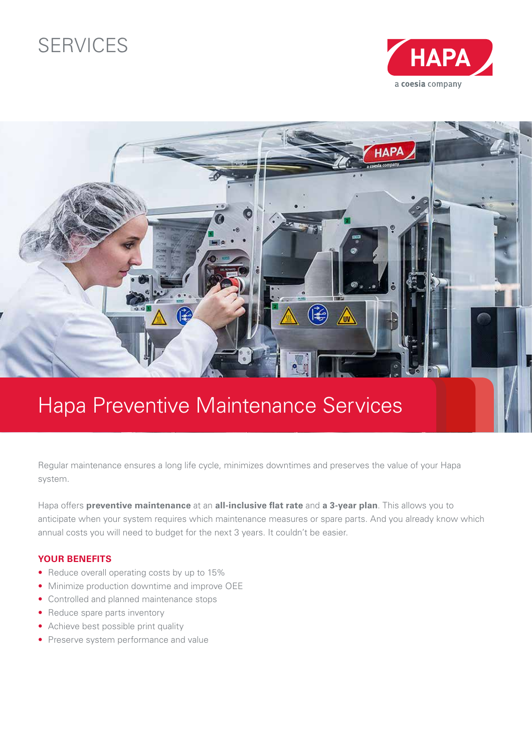## SERVICES





# Hapa Preventive Maintenance Services

Regular maintenance ensures a long life cycle, minimizes downtimes and preserves the value of your Hapa system.

Hapa offers **preventive maintenance** at an **all-inclusive flat rate** and **a 3-year plan**. This allows you to anticipate when your system requires which maintenance measures or spare parts. And you already know which annual costs you will need to budget for the next 3 years. It couldn't be easier.

### **YOUR BENEFITS**

- Reduce overall operating costs by up to 15%
- Minimize production downtime and improve OEE
- Controlled and planned maintenance stops
- Reduce spare parts inventory
- Achieve best possible print quality
- Preserve system performance and value